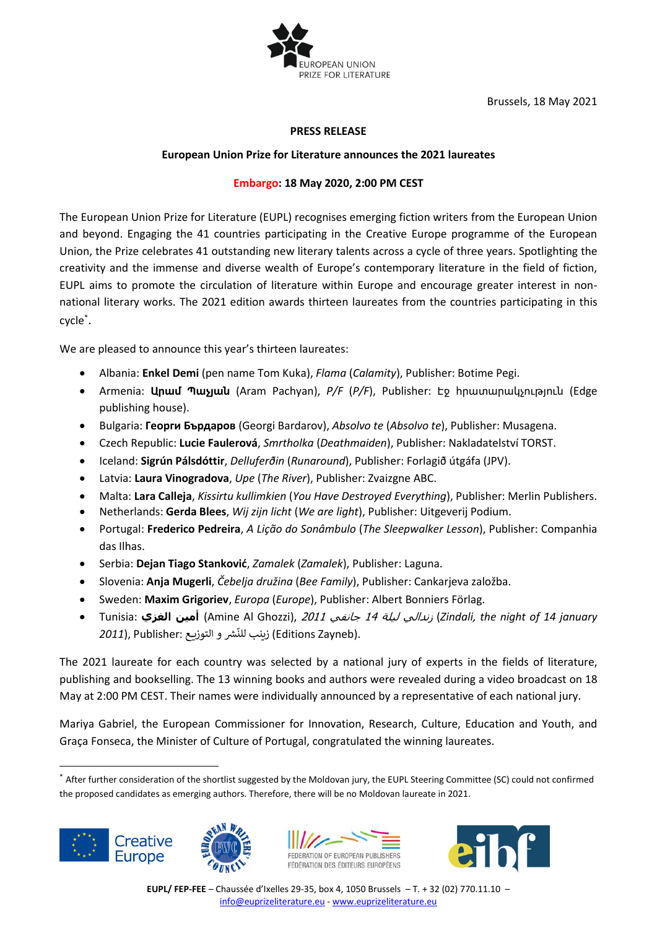

Brussels, 18 May 2021

## **PRESS RELEASE**

## **European Union Prize for Literature announces the 2021 laureates**

## **Embargo: 18 May 2020, 2:00 PM CEST**

The European Union Prize for Literature (EUPL) recognises emerging fiction writers from the European Union and beyond. Engaging the 41 countries participating in the Creative Europe programme of the European Union, the Prize celebrates 41 outstanding new literary talents across a cycle of three years. Spotlighting the creativity and the immense and diverse wealth of Europe's contemporary literature in the field of fiction, EUPL aims to promote the circulation of literature within Europe and encourage greater interest in nonnational literary works. The 2021 edition awards thirteen laureates from the countries participating in this cycle \* .

We are pleased to announce this year's thirteen laureates:

- Albania: **Enkel Demi** (pen name Tom Kuka), *Flama* (*Calamity*), Publisher: Botime Pegi.
- Armenia: **Արամ Պաչյան** (Aram Pachyan), *P/F* (*P/F*), Publisher: Էջ հրատարակչություն (Edge publishing house).
- Bulgaria: **Георги Бърдаров** (Georgi Bardarov), *Absolvo te* (*Absolvo te*), Publisher: Musagena.
- Czech Republic: **Lucie Faulerová**, *Smrtholka* (*Deathmaiden*), Publisher: Nakladatelství TORST.
- Iceland: **Sigrún Pálsdóttir**, *Delluferðin* (*Runaround*), Publisher: Forlagið útgáfa (JPV).
- Latvia: **Laura Vinogradova**, *Upe* (*The River*), Publisher: Zvaizgne ABC.
- Malta: **Lara Calleja**, *Kissirtu kullimkien* (*You Have Destroyed Everything*), Publisher: Merlin Publishers.
- Netherlands: **Gerda Blees**, *Wij zijn licht* (*We are light*), Publisher: Uitgeverij Podium.
- Portugal: **Frederico Pedreira**, *A Lição do Sonâmbulo* (*The Sleepwalker Lesson*), Publisher: Companhia das Ilhas.
- Serbia: **Dejan Tiago Stanković**, *Zamalek* (*Zamalek*), Publisher: Laguna.
- Slovenia: **Anja Mugerli**, *Čebelja družina* (*Bee Family*), Publisher: Cankarjeva založba.
- Sweden: **Maxim Grigoriev**, *Europa* (*Europe*), Publisher: Albert Bonniers Förlag.
- Tunisia: **الغزي أمين**) Amine Al Ghozzi), <sup>2011</sup> جانفي <sup>14</sup> ليلة زندالي) *Zindali, the night of 14 january*  ِ.<br>.(Editions Zayneb) زينب للنّشر و التوزيع :*2011*), Publisher (

The 2021 laureate for each country was selected by a national jury of experts in the fields of literature, publishing and bookselling. The 13 winning books and authors were revealed during a video broadcast on 18 May at 2:00 PM CEST. Their names were individually announced by a representative of each national jury.

Mariya Gabriel, the European Commissioner for Innovation, Research, Culture, Education and Youth, and Graça Fonseca, the Minister of Culture of Portugal, congratulated the winning laureates.

<sup>\*</sup> After further consideration of the shortlist suggested by the Moldovan jury, the EUPL Steering Committee (SC) could not confirmed the proposed candidates as emerging authors. Therefore, there will be no Moldovan laureate in 2021.







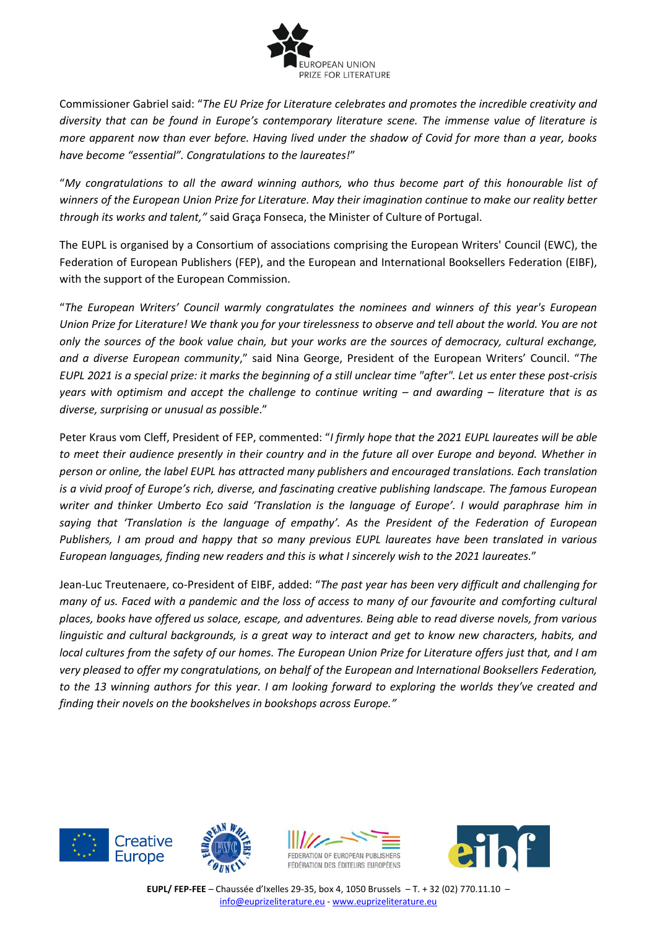

Commissioner Gabriel said: "*The EU Prize for Literature celebrates and promotes the incredible creativity and diversity that can be found in Europe's contemporary literature scene. The immense value of literature is more apparent now than ever before. Having lived under the shadow of Covid for more than a year, books have become "essential". Congratulations to the laureates!*"

"*My congratulations to all the award winning authors, who thus become part of this honourable list of winners of the European Union Prize for Literature. May their imagination continue to make our reality better through its works and talent,"* said Graça Fonseca, the Minister of Culture of Portugal.

The EUPL is organised by a Consortium of associations comprising the European Writers' Council (EWC), the Federation of European Publishers (FEP), and the European and International Booksellers Federation (EIBF), with the support of the European Commission.

"*The European Writers' Council warmly congratulates the nominees and winners of this year's European Union Prize for Literature! We thank you for your tirelessness to observe and tell about the world. You are not only the sources of the book value chain, but your works are the sources of democracy, cultural exchange, and a diverse European community*," said Nina George, President of the European Writers' Council. "*The EUPL 2021 is a special prize: it marks the beginning of a still unclear time "after". Let us enter these post-crisis years with optimism and accept the challenge to continue writing – and awarding – literature that is as diverse, surprising or unusual as possible*."

Peter Kraus vom Cleff, President of FEP, commented: "*I firmly hope that the 2021 EUPL laureates will be able to meet their audience presently in their country and in the future all over Europe and beyond. Whether in person or online, the label EUPL has attracted many publishers and encouraged translations. Each translation is a vivid proof of Europe's rich, diverse, and fascinating creative publishing landscape. The famous European writer and thinker Umberto Eco said 'Translation is the language of Europe'. I would paraphrase him in saying that 'Translation is the language of empathy'. As the President of the Federation of European Publishers, I am proud and happy that so many previous EUPL laureates have been translated in various European languages, finding new readers and this is what I sincerely wish to the 2021 laureates.*"

Jean-Luc Treutenaere, co-President of EIBF, added: "*The past year has been very difficult and challenging for many of us. Faced with a pandemic and the loss of access to many of our favourite and comforting cultural places, books have offered us solace, escape, and adventures. Being able to read diverse novels, from various linguistic and cultural backgrounds, is a great way to interact and get to know new characters, habits, and local cultures from the safety of our homes. The European Union Prize for Literature offers just that, and I am very pleased to offer my congratulations, on behalf of the European and International Booksellers Federation, to the 13 winning authors for this year. I am looking forward to exploring the worlds they've created and finding their novels on the bookshelves in bookshops across Europe."*







**EUPL/ FEP-FEE** – Chaussée d'Ixelles 29-35, box 4, 1050 Brussels – T. + 32 (02) 770.11.10 – [info@euprizeliterature.eu](mailto:info@euprizeliterature.eu) - [www.euprizeliterature.eu](http://www.euprizeliterature.eu/)